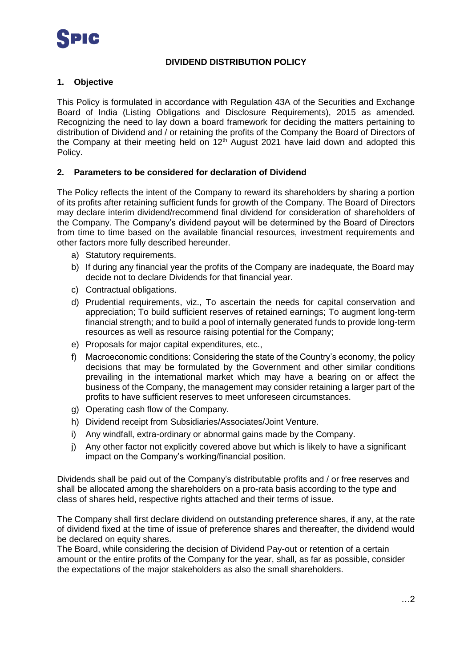### **DIVIDEND DISTRIBUTION POLICY**

### **1. Objective**

This Policy is formulated in accordance with Regulation 43A of the Securities and Exchange Board of India (Listing Obligations and Disclosure Requirements), 2015 as amended. Recognizing the need to lay down a board framework for deciding the matters pertaining to distribution of Dividend and / or retaining the profits of the Company the Board of Directors of the Company at their meeting held on 12<sup>th</sup> August 2021 have laid down and adopted this Policy.

## **2. Parameters to be considered for declaration of Dividend**

The Policy reflects the intent of the Company to reward its shareholders by sharing a portion of its profits after retaining sufficient funds for growth of the Company. The Board of Directors may declare interim dividend/recommend final dividend for consideration of shareholders of the Company. The Company's dividend payout will be determined by the Board of Directors from time to time based on the available financial resources, investment requirements and other factors more fully described hereunder.

- a) Statutory requirements.
- b) If during any financial year the profits of the Company are inadequate, the Board may decide not to declare Dividends for that financial year.
- c) Contractual obligations.
- d) Prudential requirements, viz., To ascertain the needs for capital conservation and appreciation; To build sufficient reserves of retained earnings; To augment long-term financial strength; and to build a pool of internally generated funds to provide long-term resources as well as resource raising potential for the Company;
- e) Proposals for major capital expenditures, etc.,
- f) Macroeconomic conditions: Considering the state of the Country's economy, the policy decisions that may be formulated by the Government and other similar conditions prevailing in the international market which may have a bearing on or affect the business of the Company, the management may consider retaining a larger part of the profits to have sufficient reserves to meet unforeseen circumstances.
- g) Operating cash flow of the Company.
- h) Dividend receipt from Subsidiaries/Associates/Joint Venture.
- i) Any windfall, extra-ordinary or abnormal gains made by the Company.
- j) Any other factor not explicitly covered above but which is likely to have a significant impact on the Company's working/financial position.

Dividends shall be paid out of the Company's distributable profits and / or free reserves and shall be allocated among the shareholders on a pro-rata basis according to the type and class of shares held, respective rights attached and their terms of issue.

The Company shall first declare dividend on outstanding preference shares, if any, at the rate of dividend fixed at the time of issue of preference shares and thereafter, the dividend would be declared on equity shares.

The Board, while considering the decision of Dividend Pay-out or retention of a certain amount or the entire profits of the Company for the year, shall, as far as possible, consider the expectations of the major stakeholders as also the small shareholders.